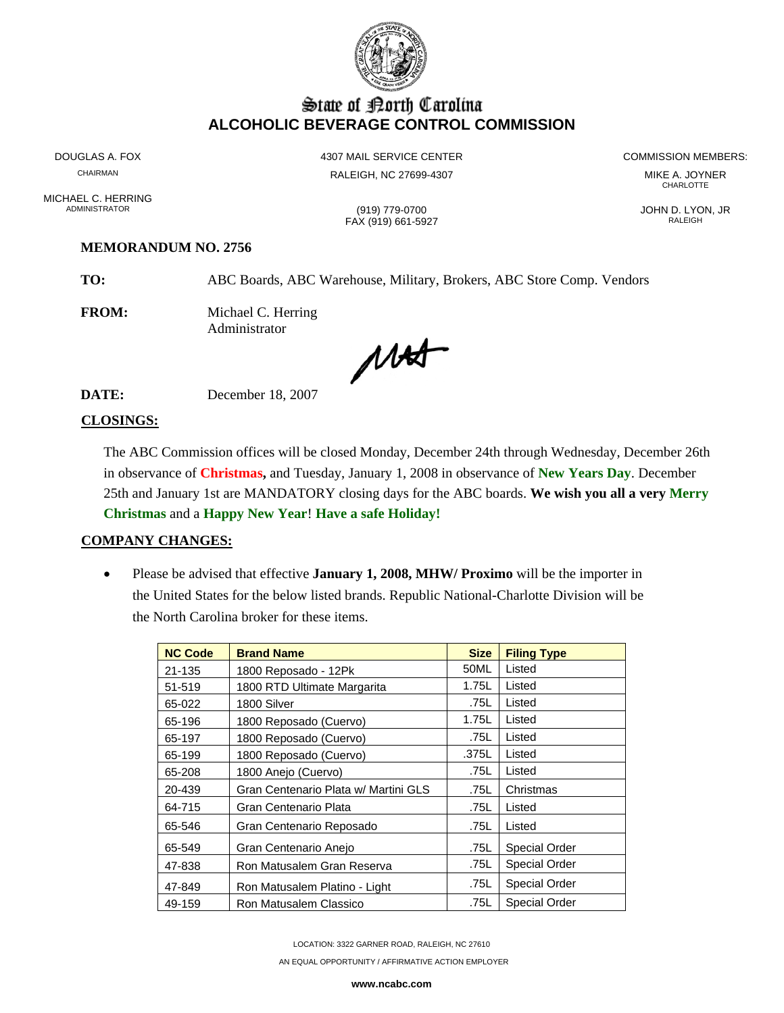

## State of Borth Carolina **ALCOHOLIC BEVERAGE CONTROL COMMISSION**

MICHAEL C. HERRING<br>ADMINISTRATOR

CHAIRMAN RALEIGH, NC 27699-4307 MIKE A. JOYNER

FAX (919) 661-5927

DOUGLAS A. FOX **A COMMISSION MEMBERS:** 4307 MAIL SERVICE CENTER **A COMMISSION MEMBERS:** 

**CHARLOTTE** 

ADMINISTRATOR (919) 779-0700 JOHN D. LYON, JR

## **MEMORANDUM NO. 2756**

**TO:** ABC Boards, ABC Warehouse, Military, Brokers, ABC Store Comp. Vendors

**FROM:** Michael C. Herring Administrator

MAS

**DATE:** December 18, 2007

## **CLOSINGS:**

The ABC Commission offices will be closed Monday, December 24th through Wednesday, December 26th in observance of **Christmas,** and Tuesday, January 1, 2008 in observance of **New Years Day**. December 25th and January 1st are MANDATORY closing days for the ABC boards. **We wish you all a very Merry Christmas** and a **Happy New Year**! **Have a safe Holiday!** 

## **COMPANY CHANGES:**

• Please be advised that effective **January 1, 2008, MHW/ Proximo** will be the importer in the United States for the below listed brands. Republic National-Charlotte Division will be the North Carolina broker for these items.

| <b>NC Code</b> | <b>Brand Name</b>                    | <b>Size</b> | <b>Filing Type</b>   |
|----------------|--------------------------------------|-------------|----------------------|
| 21-135         | 1800 Reposado - 12Pk                 | 50ML        | Listed               |
| 51-519         | 1800 RTD Ultimate Margarita          | 1.75L       | Listed               |
| 65-022         | 1800 Silver                          | .75L        | Listed               |
| 65-196         | 1800 Reposado (Cuervo)               | 1.75L       | Listed               |
| 65-197         | 1800 Reposado (Cuervo)               | .75L        | Listed               |
| 65-199         | 1800 Reposado (Cuervo)               | .375L       | Listed               |
| 65-208         | 1800 Anejo (Cuervo)                  | .75L        | Listed               |
| 20-439         | Gran Centenario Plata w/ Martini GLS | .75L        | Christmas            |
| 64-715         | Gran Centenario Plata                | .75L        | Listed               |
| 65-546         | Gran Centenario Reposado             | .75L        | Listed               |
| 65-549         | Gran Centenario Anejo                | .75L        | <b>Special Order</b> |
| 47-838         | Ron Matusalem Gran Reserva           | .75L        | <b>Special Order</b> |
| 47-849         | Ron Matusalem Platino - Light        | .75L        | <b>Special Order</b> |
| 49-159         | Ron Matusalem Classico               | .75L        | <b>Special Order</b> |

LOCATION: 3322 GARNER ROAD, RALEIGH, NC 27610

AN EQUAL OPPORTUNITY / AFFIRMATIVE ACTION EMPLOYER

**www.ncabc.com**